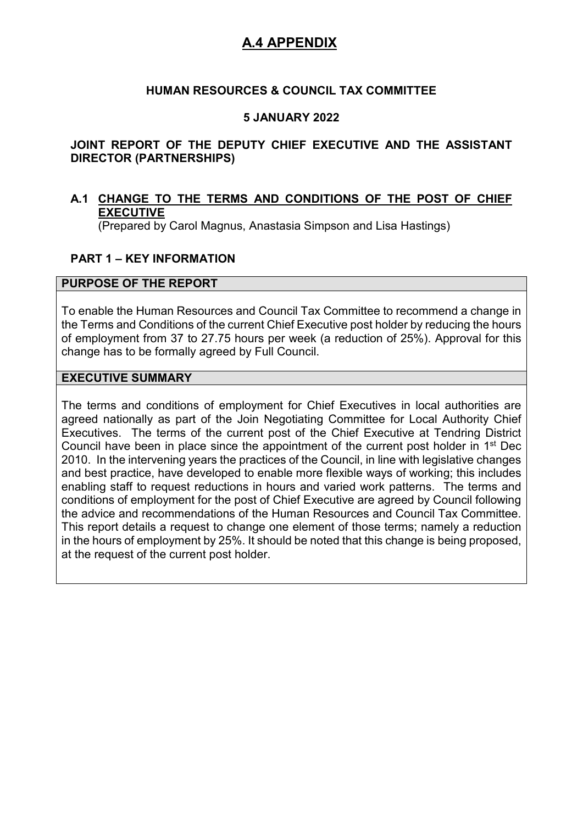## **HUMAN RESOURCES & COUNCIL TAX COMMITTEE**

## **5 JANUARY 2022**

## **JOINT REPORT OF THE DEPUTY CHIEF EXECUTIVE AND THE ASSISTANT DIRECTOR (PARTNERSHIPS)**

## **A.1 CHANGE TO THE TERMS AND CONDITIONS OF THE POST OF CHIEF EXECUTIVE**

(Prepared by Carol Magnus, Anastasia Simpson and Lisa Hastings)

## **PART 1 – KEY INFORMATION**

#### **PURPOSE OF THE REPORT**

To enable the Human Resources and Council Tax Committee to recommend a change in the Terms and Conditions of the current Chief Executive post holder by reducing the hours of employment from 37 to 27.75 hours per week (a reduction of 25%). Approval for this change has to be formally agreed by Full Council.

#### **EXECUTIVE SUMMARY**

The terms and conditions of employment for Chief Executives in local authorities are agreed nationally as part of the Join Negotiating Committee for Local Authority Chief Executives. The terms of the current post of the Chief Executive at Tendring District Council have been in place since the appointment of the current post holder in 1st Dec 2010. In the intervening years the practices of the Council, in line with legislative changes and best practice, have developed to enable more flexible ways of working; this includes enabling staff to request reductions in hours and varied work patterns. The terms and conditions of employment for the post of Chief Executive are agreed by Council following the advice and recommendations of the Human Resources and Council Tax Committee. This report details a request to change one element of those terms; namely a reduction in the hours of employment by 25%. It should be noted that this change is being proposed, at the request of the current post holder.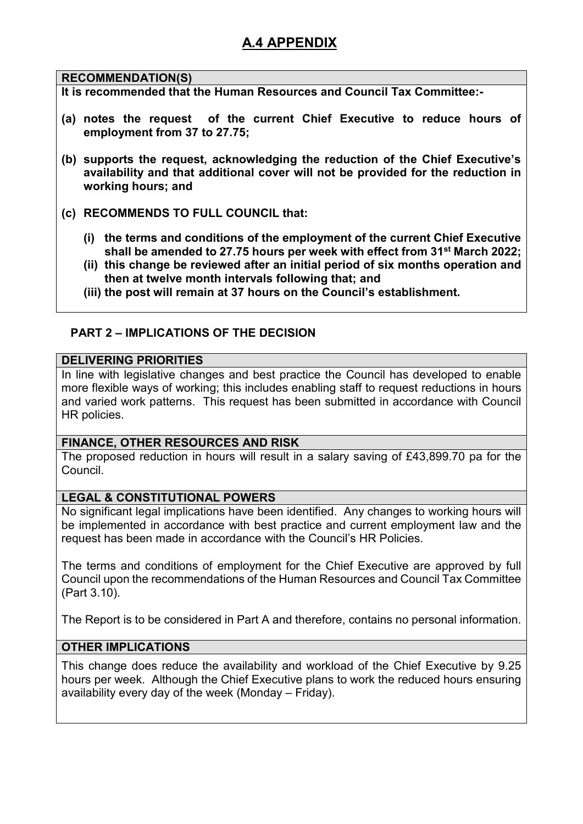## **RECOMMENDATION(S)**

**It is recommended that the Human Resources and Council Tax Committee:-** 

- **(a) notes the request of the current Chief Executive to reduce hours of employment from 37 to 27.75;**
- **(b) supports the request, acknowledging the reduction of the Chief Executive's availability and that additional cover will not be provided for the reduction in working hours; and**
- **(c) RECOMMENDS TO FULL COUNCIL that:** 
	- **(i) the terms and conditions of the employment of the current Chief Executive shall be amended to 27.75 hours per week with effect from 31st March 2022;**
	- **(ii) this change be reviewed after an initial period of six months operation and then at twelve month intervals following that; and**
	- **(iii) the post will remain at 37 hours on the Council's establishment.**

# **PART 2 – IMPLICATIONS OF THE DECISION**

#### **DELIVERING PRIORITIES**

In line with legislative changes and best practice the Council has developed to enable more flexible ways of working; this includes enabling staff to request reductions in hours and varied work patterns. This request has been submitted in accordance with Council HR policies.

## **FINANCE, OTHER RESOURCES AND RISK**

The proposed reduction in hours will result in a salary saving of £43,899.70 pa for the Council.

## **LEGAL & CONSTITUTIONAL POWERS**

No significant legal implications have been identified. Any changes to working hours will be implemented in accordance with best practice and current employment law and the request has been made in accordance with the Council's HR Policies.

The terms and conditions of employment for the Chief Executive are approved by full Council upon the recommendations of the Human Resources and Council Tax Committee (Part 3.10).

The Report is to be considered in Part A and therefore, contains no personal information.

## **OTHER IMPLICATIONS**

This change does reduce the availability and workload of the Chief Executive by 9.25 hours per week. Although the Chief Executive plans to work the reduced hours ensuring availability every day of the week (Monday – Friday).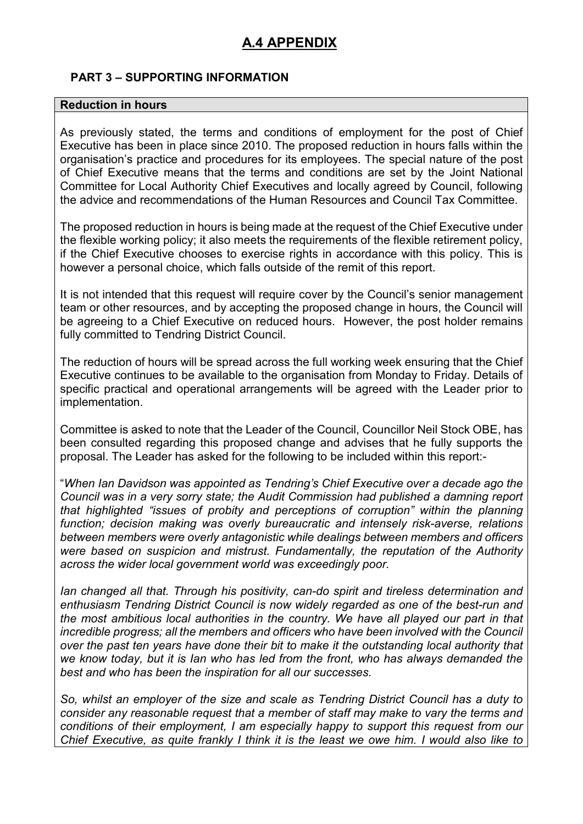# **PART 3 – SUPPORTING INFORMATION**

#### **Reduction in hours**

As previously stated, the terms and conditions of employment for the post of Chief Executive has been in place since 2010. The proposed reduction in hours falls within the organisation's practice and procedures for its employees. The special nature of the post of Chief Executive means that the terms and conditions are set by the Joint National Committee for Local Authority Chief Executives and locally agreed by Council, following the advice and recommendations of the Human Resources and Council Tax Committee.

The proposed reduction in hours is being made at the request of the Chief Executive under the flexible working policy; it also meets the requirements of the flexible retirement policy, if the Chief Executive chooses to exercise rights in accordance with this policy. This is however a personal choice, which falls outside of the remit of this report.

It is not intended that this request will require cover by the Council's senior management team or other resources, and by accepting the proposed change in hours, the Council will be agreeing to a Chief Executive on reduced hours. However, the post holder remains fully committed to Tendring District Council.

The reduction of hours will be spread across the full working week ensuring that the Chief Executive continues to be available to the organisation from Monday to Friday. Details of specific practical and operational arrangements will be agreed with the Leader prior to implementation.

Committee is asked to note that the Leader of the Council, Councillor Neil Stock OBE, has been consulted regarding this proposed change and advises that he fully supports the proposal. The Leader has asked for the following to be included within this report:-

"*When Ian Davidson was appointed as Tendring's Chief Executive over a decade ago the Council was in a very sorry state; the Audit Commission had published a damning report that highlighted "issues of probity and perceptions of corruption" within the planning function; decision making was overly bureaucratic and intensely risk-averse, relations between members were overly antagonistic while dealings between members and officers were based on suspicion and mistrust. Fundamentally, the reputation of the Authority across the wider local government world was exceedingly poor.* 

*Ian changed all that. Through his positivity, can-do spirit and tireless determination and enthusiasm Tendring District Council is now widely regarded as one of the best-run and the most ambitious local authorities in the country. We have all played our part in that incredible progress; all the members and officers who have been involved with the Council over the past ten years have done their bit to make it the outstanding local authority that we know today, but it is Ian who has led from the front, who has always demanded the best and who has been the inspiration for all our successes.* 

*So, whilst an employer of the size and scale as Tendring District Council has a duty to consider any reasonable request that a member of staff may make to vary the terms and conditions of their employment, I am especially happy to support this request from our Chief Executive, as quite frankly I think it is the least we owe him. I would also like to*